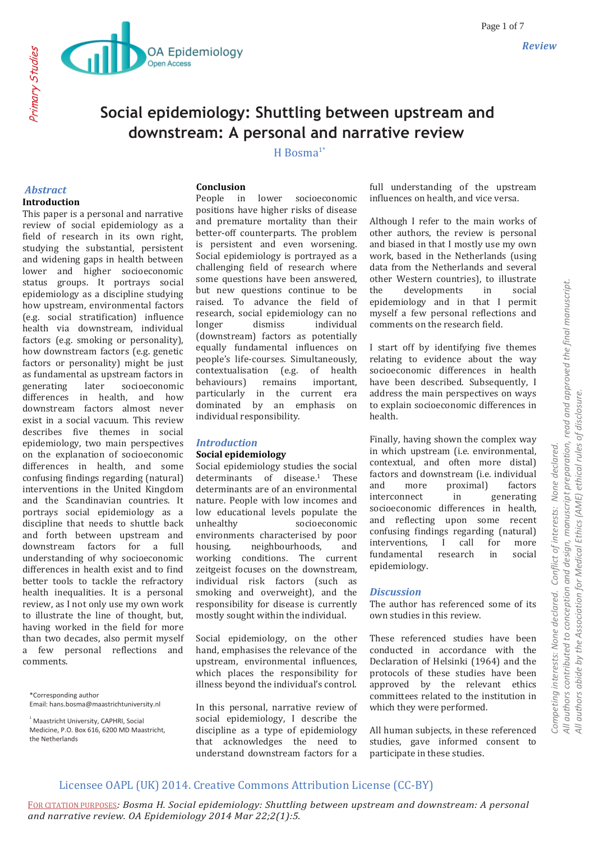

# **Social epidemiology: Shuttling between upstream and downstream: A personal and narrative review**

### H Bosma $1*$

### *Abstract* **Introduction**

Primary Studies

This paper is a personal and narrative review of social epidemiology as a field of research in its own right, studying the substantial, persistent and widening gaps in health between lower and higher socioeconomic status groups. It portrays social epidemiology as a discipline studying how upstream, environmental factors (e.g. social stratification) influence health via downstream, individual factors (e.g. smoking or personality), how downstream factors (e.g. genetic factors or personality) might be just as fundamental as upstream factors in generating later socioeconomic differences in health, and how downstream factors almost never exist in a social vacuum. This review describes five themes in social epidemiology, two main perspectives on the explanation of socioeconomic differences in health, and some confusing findings regarding (natural) interventions in the United Kingdom and the Scandinavian countries. It portrays social epidemiology as a discipline that needs to shuttle back and forth between upstream and downstream factors for a full understanding of why socioeconomic differences in health exist and to find better tools to tackle the refractory health inequalities. It is a personal review, as I not only use my own work to illustrate the line of thought, but, having worked in the field for more than two decades, also permit myself a few personal reflections and comments.

\*Corresponding author Email: hans.bosma@maastrichtuniversity.nl

<sup>1</sup> Maastricht University, CAPHRI, Social Medicine, P.O. Box 616, 6200 MD Maastricht the Netherlands

### **Conclusion**

People in lower socioeconomic positions have higher risks of disease and premature mortality than their better-off counterparts. The problem is persistent and even worsening. Social epidemiology is portrayed as a challenging field of research where some questions have been answered, but new questions continue to be raised. To advance the field of research, social epidemiology can no longer dismiss individual (downstream) factors as potentially equally fundamental influences on people's life-courses. Simultaneously, contextualisation (e.g. of health behaviours) remains important, particularly in the current era dominated by an emphasis on individual responsibility.

### *Introduction*

### **Social epidemiology**

Social epidemiology studies the social determinants of disease.<sup>1</sup> These determinants are of an environmental nature. People with low incomes and low educational levels populate the unhealthy socioeconomic environments characterised by poor housing, neighbourhoods, and working conditions. The current zeitgeist focuses on the downstream, individual risk factors (such as smoking and overweight), and the responsibility for disease is currently mostly sought within the individual.

Social epidemiology, on the other hand, emphasises the relevance of the upstream, environmental influences, which places the responsibility for illness beyond the individual's control.

In this personal, narrative review of social epidemiology, I describe the discipline as a type of epidemiology that acknowledges the need to understand downstream factors for a

full understanding of the upstream influences on health, and vice versa.

Although I refer to the main works of other authors, the review is personal and biased in that I mostly use my own work, based in the Netherlands (using data from the Netherlands and several other Western countries), to illustrate the developments in social epidemiology and in that I permit myself a few personal reflections and comments on the research field.

I start off by identifying five themes relating to evidence about the way socioeconomic differences in health have been described. Subsequently, I address the main perspectives on ways to explain socioeconomic differences in health.

Finally, having shown the complex way in which upstream (i.e. environmental, contextual, and often more distal) factors and downstream (i.e. individual and more proximal) factors interconnect in generating socioeconomic differences in health, and reflecting upon some recent confusing findings regarding (natural) interventions, I call for more fundamental research in social epidemiology.

### *Discussion*

The author has referenced some of its own studies in this review.

These referenced studies have been conducted in accordance with the Declaration of Helsinki (1964) and the protocols of these studies have been approved by the relevant ethics committees related to the institution in which they were performed.

All human subjects, in these referenced studies, gave informed consent to participate in these studies.

# Licensee OAPL (UK) 2014. Creative Commons Attribution License (CC-BY)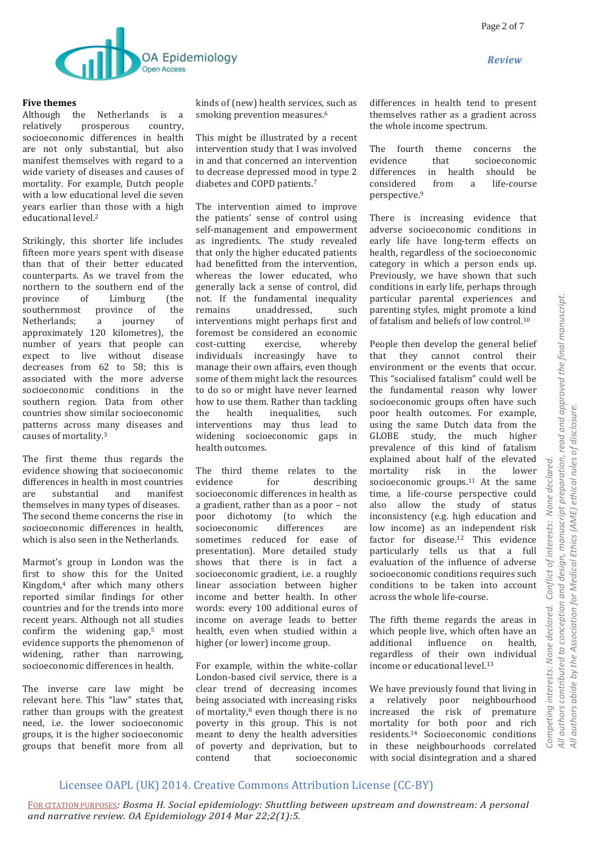

### **Five themes**

Although the Netherlands is a relatively prosperous country, socioeconomic differences in health are not only substantial, but also manifest themselves with regard to a wide variety of diseases and causes of mortality. For example, Dutch people with a low educational level die seven years earlier than those with a high educational level.<sup>2</sup>

Strikingly, this shorter life includes fifteen more years spent with disease than that of their better educated counterparts. As we travel from the northern to the southern end of the province of Limburg (the southernmost province of the Netherlands; a journey of approximately 120 kilometres), the number of years that people can expect to live without disease decreases from 62 to 58; this is associated with the more adverse socioeconomic conditions in the southern region. Data from other countries show similar socioeconomic patterns across many diseases and causes of mortality.<sup>3</sup>

The first theme thus regards the evidence showing that socioeconomic differences in health in most countries are substantial and manifest themselves in many types of diseases. The second theme concerns the rise in socioeconomic differences in health, which is also seen in the Netherlands.

Marmot's group in London was the first to show this for the United Kingdom,<sup>4</sup> after which many others reported similar findings for other countries and for the trends into more recent years. Although not all studies confirm the widening gap, $5$  most evidence supports the phenomenon of widening, rather than narrowing, socioeconomic differences in health.

The inverse care law might be relevant here. This "law" states that, rather than groups with the greatest need, i.e. the lower socioeconomic groups, it is the higher socioeconomic groups that benefit more from all

kinds of (new) health services, such as smoking prevention measures.<sup>6</sup>

This might be illustrated by a recent intervention study that I was involved in and that concerned an intervention to decrease depressed mood in type 2 diabetes and COPD patients.<sup>7</sup>

The intervention aimed to improve the patients' sense of control using self-management and empowerment as ingredients. The study revealed that only the higher educated patients had benefitted from the intervention, whereas the lower educated, who generally lack a sense of control, did not. If the fundamental inequality remains unaddressed, such interventions might perhaps first and foremost be considered an economic cost-cutting exercise, whereby individuals increasingly have to manage their own affairs, even though some of them might lack the resources to do so or might have never learned how to use them. Rather than tackling the health inequalities, such interventions may thus lead to widening socioeconomic gaps in health outcomes.

The third theme relates to the evidence for describing socioeconomic differences in health as a gradient, rather than as a poor – not poor dichotomy (to which the socioeconomic differences are sometimes reduced for ease of presentation). More detailed study shows that there is in fact a socioeconomic gradient, i.e. a roughly linear association between higher income and better health. In other words: every 100 additional euros of income on average leads to better health, even when studied within a higher (or lower) income group.

For example, within the white-collar London-based civil service, there is a clear trend of decreasing incomes being associated with increasing risks of mortality, $8$  even though there is no poverty in this group. This is not meant to deny the health adversities of poverty and deprivation, but to contend that socioeconomic differences in health tend to present themselves rather as a gradient across the whole income spectrum.

The fourth theme concerns the evidence that socioeconomic differences in health should be considered from a life-course perspective.<sup>9</sup>

There is increasing evidence that adverse socioeconomic conditions in early life have long-term effects on health, regardless of the socioeconomic category in which a person ends up. Previously, we have shown that such conditions in early life, perhaps through particular parental experiences and parenting styles, might promote a kind of fatalism and beliefs of low control.<sup>10</sup>

People then develop the general belief that they cannot control their environment or the events that occur. This "socialised fatalism" could well be the fundamental reason why lower socioeconomic groups often have such poor health outcomes. For example, using the same Dutch data from the GLOBE study, the much higher prevalence of this kind of fatalism explained about half of the elevated mortality risk in the lower socioeconomic groups. $11$  At the same time, a life-course perspective could also allow the study of status inconsistency (e.g. high education and low income) as an independent risk factor for disease.<sup>12</sup> This evidence particularly tells us that a full evaluation of the influence of adverse socioeconomic conditions requires such conditions to be taken into account across the whole life-course.

The fifth theme regards the areas in which people live, which often have an additional influence on health, regardless of their own individual income or educational level.<sup>13</sup>

We have previously found that living in a relatively poor neighbourhood increased the risk of premature mortality for both poor and rich residents.<sup>14</sup> Socioeconomic conditions in these neighbourhoods correlated with social disintegration and a shared

# Licensee OAPL (UK) 2014. Creative Commons Attribution License (CC-BY)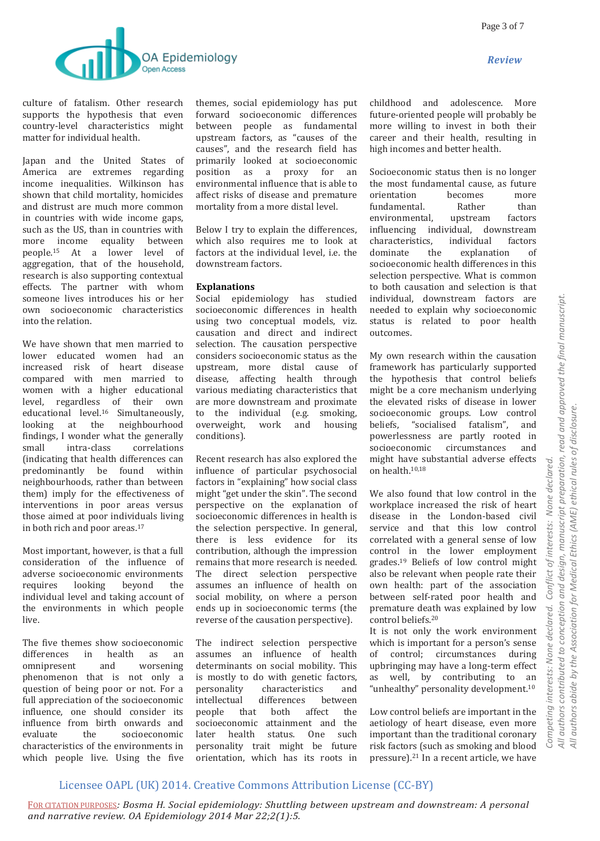

culture of fatalism. Other research supports the hypothesis that even country-level characteristics might matter for individual health.

Japan and the United States of America are extremes regarding income inequalities. Wilkinson has shown that child mortality, homicides and distrust are much more common in countries with wide income gaps, such as the US, than in countries with more income equality between people.<sup>15</sup> At a lower level of aggregation, that of the household, research is also supporting contextual effects. The partner with whom someone lives introduces his or her own socioeconomic characteristics into the relation.

We have shown that men married to lower educated women had an increased risk of heart disease compared with men married to women with a higher educational level, regardless of their own educational level.<sup>16</sup> Simultaneously, looking at the neighbourhood findings, I wonder what the generally small intra-class correlations (indicating that health differences can predominantly be found within neighbourhoods, rather than between them) imply for the effectiveness of interventions in poor areas versus those aimed at poor individuals living in both rich and poor areas.<sup>17</sup>

Most important, however, is that a full consideration of the influence of adverse socioeconomic environments requires looking beyond the individual level and taking account of the environments in which people live.

The five themes show socioeconomic differences in health as an omnipresent and worsening phenomenon that is not only a question of being poor or not. For a full appreciation of the socioeconomic influence, one should consider its influence from birth onwards and evaluate the socioeconomic characteristics of the environments in which people live. Using the five

themes, social epidemiology has put forward socioeconomic differences between people as fundamental upstream factors, as "causes of the causes", and the research field has primarily looked at socioeconomic position as a proxy for an environmental influence that is able to affect risks of disease and premature mortality from a more distal level.

Below I try to explain the differences, which also requires me to look at factors at the individual level, i.e. the downstream factors.

### **Explanations**

Social epidemiology has studied socioeconomic differences in health using two conceptual models, viz. causation and direct and indirect selection. The causation perspective considers socioeconomic status as the upstream, more distal cause of disease, affecting health through various mediating characteristics that are more downstream and proximate to the individual (e.g. smoking, overweight, work and housing conditions).

Recent research has also explored the influence of particular psychosocial factors in "explaining" how social class might "get under the skin". The second perspective on the explanation of socioeconomic differences in health is the selection perspective. In general, there is less evidence for its contribution, although the impression remains that more research is needed. The direct selection perspective assumes an influence of health on social mobility, on where a person ends up in socioeconomic terms (the reverse of the causation perspective).

The indirect selection perspective assumes an influence of health determinants on social mobility. This is mostly to do with genetic factors, personality characteristics and intellectual differences between people that both affect the socioeconomic attainment and the later health status. One such personality trait might be future orientation, which has its roots in childhood and adolescence. More future-oriented people will probably be more willing to invest in both their career and their health, resulting in high incomes and better health.

Socioeconomic status then is no longer the most fundamental cause, as future orientation becomes more fundamental. Rather than environmental, upstream factors influencing individual, downstream characteristics, individual factors dominate the explanation of socioeconomic health differences in this selection perspective. What is common to both causation and selection is that individual, downstream factors are needed to explain why socioeconomic status is related to poor health outcomes.

My own research within the causation framework has particularly supported the hypothesis that control beliefs might be a core mechanism underlying the elevated risks of disease in lower socioeconomic groups. Low control beliefs, "socialised fatalism", and powerlessness are partly rooted in socioeconomic circumstances and might have substantial adverse effects on health.10,18

We also found that low control in the workplace increased the risk of heart disease in the London-based civil service and that this low control correlated with a general sense of low control in the lower employment grades.<sup>19</sup> Beliefs of low control might also be relevant when people rate their own health: part of the association between self-rated poor health and premature death was explained by low control beliefs.<sup>20</sup>

It is not only the work environment which is important for a person's sense of control; circumstances during upbringing may have a long-term effect as well, by contributing to an "unhealthy" personality development.<sup>10</sup>

Low control beliefs are important in the aetiology of heart disease, even more important than the traditional coronary risk factors (such as smoking and blood pressure).<sup>21</sup> In a recent article, we have

# Licensee OAPL (UK) 2014. Creative Commons Attribution License (CC-BY)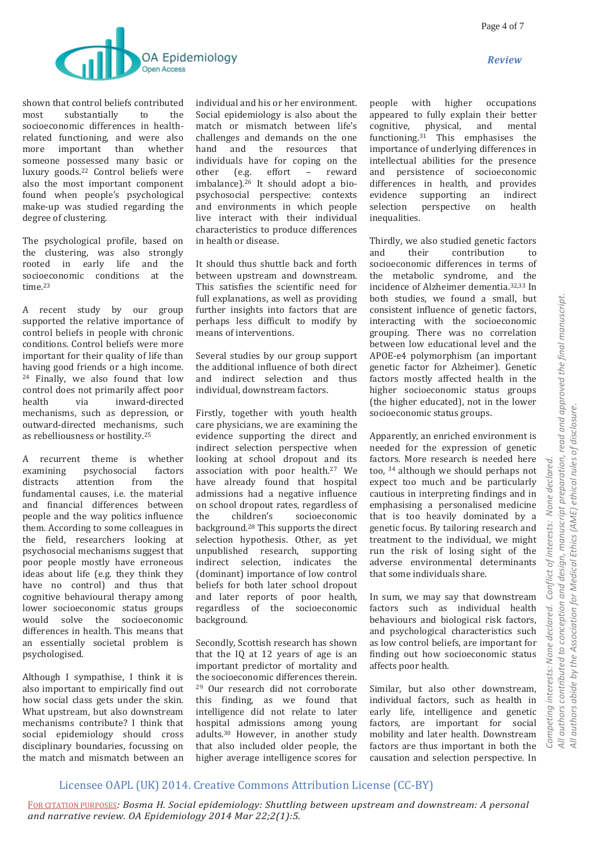

shown that control beliefs contributed most substantially to the socioeconomic differences in healthrelated functioning, and were also more important than whether someone possessed many basic or luxury goods.<sup>22</sup> Control beliefs were also the most important component found when people's psychological make-up was studied regarding the degree of clustering.

The psychological profile, based on the clustering, was also strongly rooted in early life and the socioeconomic conditions at the time.<sup>23</sup>

A recent study by our group supported the relative importance of control beliefs in people with chronic conditions. Control beliefs were more important for their quality of life than having good friends or a high income. <sup>24</sup> Finally, we also found that low control does not primarily affect poor health via inward-directed mechanisms, such as depression, or outward-directed mechanisms, such as rebelliousness or hostility.<sup>25</sup>

A recurrent theme is whether examining psychosocial factors distracts attention from the fundamental causes, i.e. the material and financial differences between people and the way politics influence them. According to some colleagues in the field, researchers looking at psychosocial mechanisms suggest that poor people mostly have erroneous ideas about life (e.g. they think they have no control) and thus that cognitive behavioural therapy among lower socioeconomic status groups would solve the socioeconomic differences in health. This means that an essentially societal problem is psychologised.

Although I sympathise, I think it is also important to empirically find out how social class gets under the skin. What upstream, but also downstream mechanisms contribute? I think that social epidemiology should cross disciplinary boundaries, focussing on the match and mismatch between an

individual and his or her environment. Social epidemiology is also about the match or mismatch between life's challenges and demands on the one hand and the resources that individuals have for coping on the other (e.g. effort – reward imbalance).<sup>26</sup> It should adopt a biopsychosocial perspective: contexts and environments in which people live interact with their individual characteristics to produce differences in health or disease.

It should thus shuttle back and forth between upstream and downstream. This satisfies the scientific need for full explanations, as well as providing further insights into factors that are perhaps less difficult to modify by means of interventions.

Several studies by our group support the additional influence of both direct and indirect selection and thus individual, downstream factors.

Firstly, together with youth health care physicians, we are examining the evidence supporting the direct and indirect selection perspective when looking at school dropout and its association with poor health.<sup>27</sup> We have already found that hospital admissions had a negative influence on school dropout rates, regardless of the children's socioeconomic background.<sup>28</sup> This supports the direct selection hypothesis. Other, as yet unpublished research, supporting indirect selection, indicates the (dominant) importance of low control beliefs for both later school dropout and later reports of poor health, regardless of the socioeconomic background.

Secondly, Scottish research has shown that the IQ at 12 years of age is an important predictor of mortality and the socioeconomic differences therein. <sup>29</sup> Our research did not corroborate this finding, as we found that intelligence did not relate to later hospital admissions among young adults.<sup>30</sup> However, in another study that also included older people, the higher average intelligence scores for

people with higher occupations appeared to fully explain their better cognitive, physical, and mental functioning.<sup>31</sup> This emphasises the importance of underlying differences in intellectual abilities for the presence and persistence of socioeconomic differences in health, and provides evidence supporting an indirect selection perspective on health inequalities.

Thirdly, we also studied genetic factors and their contribution to socioeconomic differences in terms of the metabolic syndrome, and the incidence of Alzheimer dementia.32,33 In both studies, we found a small, but consistent influence of genetic factors, interacting with the socioeconomic grouping. There was no correlation between low educational level and the APOE-e4 polymorphism (an important genetic factor for Alzheimer). Genetic factors mostly affected health in the higher socioeconomic status groups (the higher educated), not in the lower socioeconomic status groups.

Apparently, an enriched environment is needed for the expression of genetic factors. More research is needed here too, <sup>34</sup> although we should perhaps not expect too much and be particularly cautious in interpreting findings and in emphasising a personalised medicine that is too heavily dominated by a genetic focus. By tailoring research and treatment to the individual, we might run the risk of losing sight of the adverse environmental determinants that some individuals share.

In sum, we may say that downstream factors such as individual health behaviours and biological risk factors, and psychological characteristics such as low control beliefs, are important for finding out how socioeconomic status affects poor health.

Similar, but also other downstream, individual factors, such as health in early life, intelligence and genetic factors, are important for social mobility and later health. Downstream factors are thus important in both the causation and selection perspective. In

## Licensee OAPL (UK) 2014. Creative Commons Attribution License (CC-BY)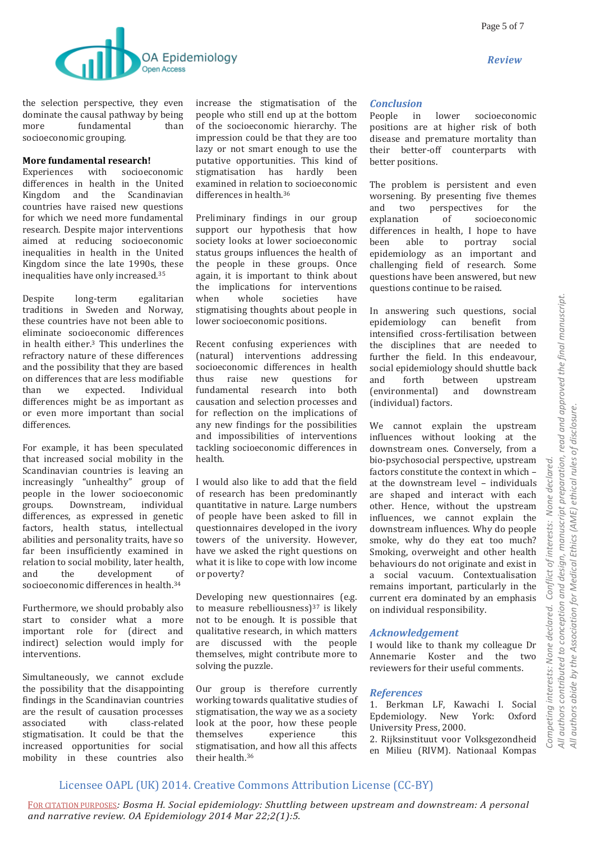

the selection perspective, they even dominate the causal pathway by being more fundamental than socioeconomic grouping.

### **More fundamental research!**

Experiences with socioeconomic differences in health in the United Kingdom and the Scandinavian countries have raised new questions for which we need more fundamental research. Despite major interventions aimed at reducing socioeconomic inequalities in health in the United Kingdom since the late 1990s, these inequalities have only increased.<sup>35</sup>

Despite long-term egalitarian traditions in Sweden and Norway, these countries have not been able to eliminate socioeconomic differences in health either.<sup>3</sup> This underlines the refractory nature of these differences and the possibility that they are based on differences that are less modifiable than we expected. Individual differences might be as important as or even more important than social differences.

For example, it has been speculated that increased social mobility in the Scandinavian countries is leaving an increasingly "unhealthy" group of people in the lower socioeconomic groups. Downstream, individual differences, as expressed in genetic factors, health status, intellectual abilities and personality traits, have so far been insufficiently examined in relation to social mobility, later health, and the development of socioeconomic differences in health.<sup>34</sup>

Furthermore, we should probably also start to consider what a more important role for (direct and indirect) selection would imply for interventions.

Simultaneously, we cannot exclude the possibility that the disappointing findings in the Scandinavian countries are the result of causation processes associated with class-related stigmatisation. It could be that the increased opportunities for social mobility in these countries also

increase the stigmatisation of the people who still end up at the bottom of the socioeconomic hierarchy. The impression could be that they are too lazy or not smart enough to use the putative opportunities. This kind of stigmatisation has hardly been examined in relation to socioeconomic differences in health.<sup>36</sup>

Preliminary findings in our group support our hypothesis that how society looks at lower socioeconomic status groups influences the health of the people in these groups. Once again, it is important to think about the implications for interventions when whole societies have stigmatising thoughts about people in lower socioeconomic positions.

Recent confusing experiences with (natural) interventions addressing socioeconomic differences in health thus raise new questions for fundamental research into both causation and selection processes and for reflection on the implications of any new findings for the possibilities and impossibilities of interventions tackling socioeconomic differences in health.

I would also like to add that the field of research has been predominantly quantitative in nature. Large numbers of people have been asked to fill in questionnaires developed in the ivory towers of the university. However, have we asked the right questions on what it is like to cope with low income or poverty?

Developing new questionnaires (e.g. to measure rebelliousness)<sup>37</sup> is likely not to be enough. It is possible that qualitative research, in which matters are discussed with the people themselves, might contribute more to solving the puzzle.

Our group is therefore currently working towards qualitative studies of stigmatisation, the way we as a society look at the poor, how these people themselves experience this stigmatisation, and how all this affects their health.<sup>36</sup>

### *Conclusion*

People in lower socioeconomic positions are at higher risk of both disease and premature mortality than their better-off counterparts with better positions.

The problem is persistent and even worsening. By presenting five themes and two perspectives for the explanation of socioeconomic differences in health, I hope to have been able to portray social epidemiology as an important and challenging field of research. Some questions have been answered, but new questions continue to be raised.

In answering such questions, social epidemiology can benefit from intensified cross-fertilisation between the disciplines that are needed to further the field. In this endeavour, social epidemiology should shuttle back and forth between upstream (environmental) and downstream (individual) factors.

We cannot explain the upstream influences without looking at the downstream ones. Conversely, from a bio-psychosocial perspective, upstream factors constitute the context in which – at the downstream level – individuals are shaped and interact with each other. Hence, without the upstream influences, we cannot explain the downstream influences. Why do people smoke, why do they eat too much? Smoking, overweight and other health behaviours do not originate and exist in a social vacuum. Contextualisation remains important, particularly in the current era dominated by an emphasis on individual responsibility.

### *Acknowledgement*

I would like to thank my colleague Dr Annemarie Koster and the two reviewers for their useful comments.

### *References*

1. Berkman LF, Kawachi I. Social Epdemiology. New York: Oxford University Press, 2000.

2. Rijksinstituut voor Volksgezondheid en Milieu (RIVM). Nationaal Kompas

 $\tilde{=}$ 

## Licensee OAPL (UK) 2014. Creative Commons Attribution License (CC-BY)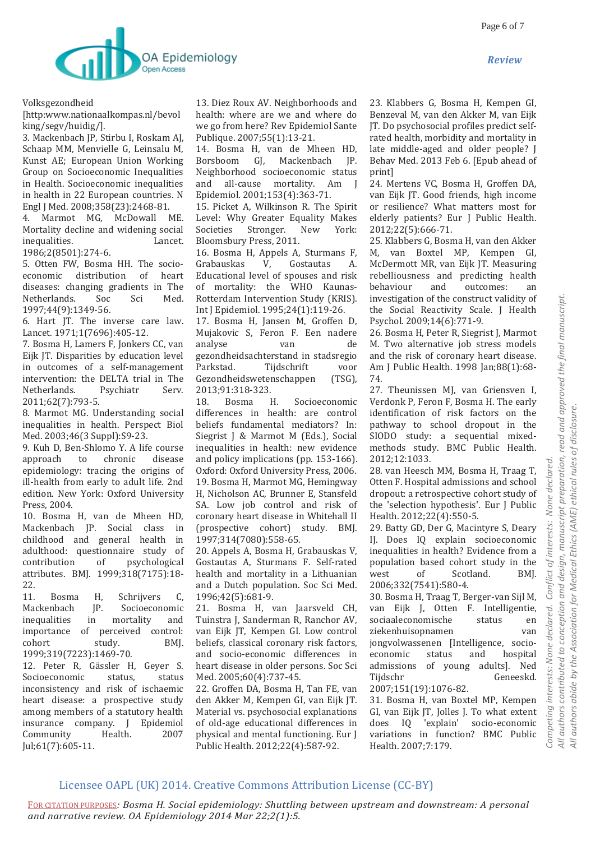

Volksgezondheid

[http:www.nationaalkompas.nl/bevol king/segv/huidig/].

3. Mackenbach JP, Stirbu I, Roskam AJ, Schaap MM, Menvielle G, Leinsalu M, Kunst AE; European Union Working Group on Socioeconomic Inequalities in Health. Socioeconomic inequalities in health in 22 European countries. N Engl J Med. 2008;358(23):2468-81.

4. Marmot MG, McDowall ME. Mortality decline and widening social inequalities. Lancet.

1986;2(8501):274-6.

5. Otten FW, Bosma HH. The socioeconomic distribution of heart diseases: changing gradients in The Netherlands. Soc Sci Med. 1997;44(9):1349-56.

6. Hart JT. The inverse care law. Lancet. 1971;1(7696):405-12.

7. Bosma H, Lamers F, Jonkers CC, van Eijk JT. Disparities by education level in outcomes of a self-management intervention: the DELTA trial in The Netherlands. Psychiatr Serv. 2011;62(7):793-5.

8. Marmot MG. Understanding social inequalities in health. Perspect Biol Med. 2003;46(3 Suppl):S9-23.

9. Kuh D, Ben-Shlomo Y. A life course approach to chronic disease epidemiology: tracing the origins of ill-health from early to adult life. 2nd edition. New York: Oxford University Press, 2004.

10. Bosma H, van de Mheen HD, Mackenbach JP. Social class in childhood and general health in adulthood: questionnaire study of contribution of psychological attributes. BMJ. 1999;318(7175):18- 22.

11. Bosma H, Schrijvers C, Mackenbach JP. Socioeconomic inequalities in mortality and importance of perceived control: cohort study. BMJ. 1999;319(7223):1469-70.

12. Peter R, Gässler H, Geyer S. Socioeconomic status, status inconsistency and risk of ischaemic heart disease: a prospective study among members of a statutory health insurance company. J Epidemiol Community Health. 2007 Jul;61(7):605-11.

13. Diez Roux AV. Neighborhoods and health: where are we and where do we go from here? Rev Epidemiol Sante Publique. 2007;55(1):13-21.

14. Bosma H, van de Mheen HD, Borsboom GJ, Mackenbach JP. Neighborhood socioeconomic status and all-cause mortality. Am J Epidemiol. 2001;153(4):363-71.

15. Picket A, Wilkinson R. The Spirit Level: Why Greater Equality Makes Societies Stronger. New York: Bloomsbury Press, 2011.

16. Bosma H, Appels A, Sturmans F, Grabauskas V, Gostautas A. Educational level of spouses and risk of mortality: the WHO Kaunas-Rotterdam Intervention Study (KRIS). Int J Epidemiol. 1995;24(1):119-26.

17. Bosma H, Jansen M, Groffen D, Mujakovic S, Feron F. Een nadere analyse van de gezondheidsachterstand in stadsregio Parkstad. Tijdschrift voor Gezondheidswetenschappen (TSG), 2013;91:318-323.

18. Bosma H. Socioeconomic differences in health: are control beliefs fundamental mediators? In: Siegrist J & Marmot M (Eds.), Social inequalities in health: new evidence and policy implications (pp. 153-166). Oxford: Oxford University Press, 2006. 19. Bosma H, Marmot MG, Hemingway H, Nicholson AC, Brunner E, Stansfeld SA. Low job control and risk of coronary heart disease in Whitehall II (prospective cohort) study. BMJ. 1997;314(7080):558-65.

20. Appels A, Bosma H, Grabauskas V, Gostautas A, Sturmans F. Self-rated health and mortality in a Lithuanian and a Dutch population. Soc Sci Med. 1996;42(5):681-9.

21. Bosma H, van Jaarsveld CH, Tuinstra J, Sanderman R, Ranchor AV, van Eijk JT, Kempen GI. Low control beliefs, classical coronary risk factors, and socio-economic differences in heart disease in older persons. Soc Sci Med. 2005;60(4):737-45.

22. Groffen DA, Bosma H, Tan FE, van den Akker M, Kempen GI, van Eijk JT. Material vs. psychosocial explanations of old-age educational differences in physical and mental functioning. Eur J Public Health. 2012;22(4):587-92.

23. Klabbers G, Bosma H, Kempen GI, Benzeval M, van den Akker M, van Eijk JT. Do psychosocial profiles predict selfrated health, morbidity and mortality in late middle-aged and older people? J Behav Med. 2013 Feb 6. [Epub ahead of print]

24. Mertens VC, Bosma H, Groffen DA, van Eijk JT. Good friends, high income or resilience? What matters most for elderly patients? Eur J Public Health. 2012;22(5):666-71.

25. Klabbers G, Bosma H, van den Akker M, van Boxtel MP, Kempen GI, McDermott MR, van Eijk JT. Measuring rebelliousness and predicting health behaviour and outcomes: an investigation of the construct validity of the Social Reactivity Scale. J Health Psychol. 2009;14(6):771-9.

26. Bosma H, Peter R, Siegrist J, Marmot M. Two alternative job stress models and the risk of coronary heart disease. Am J Public Health. 1998 Jan;88(1):68- 74.

27. Theunissen MJ, van Griensven I, Verdonk P, Feron F, Bosma H. The early identification of risk factors on the pathway to school dropout in the SIODO study: a sequential mixedmethods study. BMC Public Health. 2012;12:1033.

28. van Heesch MM, Bosma H, Traag T, Otten F. Hospital admissions and school dropout: a retrospective cohort study of the 'selection hypothesis'. Eur J Public Health. 2012;22(4):550-5.

29. Batty GD, Der G, Macintyre S, Deary IJ. Does IQ explain socioeconomic inequalities in health? Evidence from a population based cohort study in the west of Scotland. BMJ. 2006;332(7541):580-4.

30. Bosma H, Traag T, Berger-van Sijl M, van Eijk J, Otten F. Intelligentie, sociaaleconomische status en ziekenhuisopnamen van jongvolwassenen [Intelligence, socioeconomic status and hospital admissions of young adults]. Ned Tijdschr Geneeskd. 2007;151(19):1076-82.

31. Bosma H, van Boxtel MP, Kempen GI, van Eijk JT, Jolles J. To what extent does IQ 'explain' socio-economic variations in function? BMC Public Health. 2007;7:179.